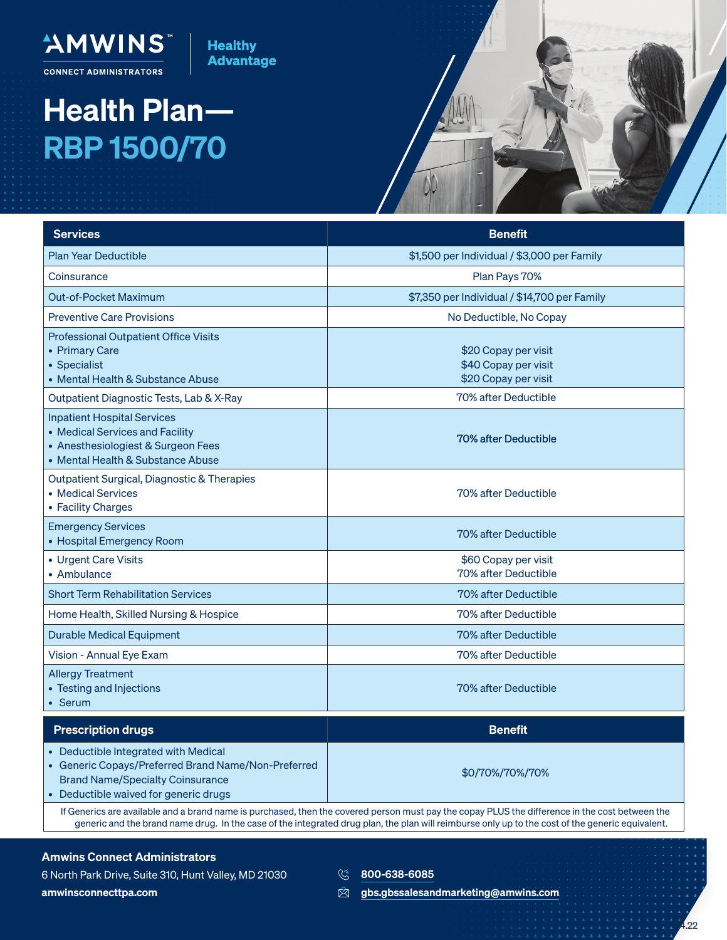

**CONNECT ADMINISTRATORS** 

AMWINS" |

## Health Plan— RBP 1500/70



| <b>Services</b>                                                                                                                                                               | <b>Benefit</b>                                                       |
|-------------------------------------------------------------------------------------------------------------------------------------------------------------------------------|----------------------------------------------------------------------|
| <b>Plan Year Deductible</b>                                                                                                                                                   | \$1,500 per Individual / \$3,000 per Family                          |
| Coinsurance                                                                                                                                                                   | Plan Pays 70%                                                        |
| Out-of-Pocket Maximum                                                                                                                                                         | \$7,350 per Individual / \$14,700 per Family                         |
| <b>Preventive Care Provisions</b>                                                                                                                                             | No Deductible, No Copay                                              |
| <b>Professional Outpatient Office Visits</b><br>• Primary Care<br>• Specialist<br>• Mental Health & Substance Abuse                                                           | \$20 Copay per visit<br>\$40 Copay per visit<br>\$20 Copay per visit |
| Outpatient Diagnostic Tests, Lab & X-Ray                                                                                                                                      | 70% after Deductible                                                 |
| <b>Inpatient Hospital Services</b><br>• Medical Services and Facility<br>• Anesthesiologiest & Surgeon Fees<br>• Mental Health & Substance Abuse                              | 70% after Deductible                                                 |
| Outpatient Surgical, Diagnostic & Therapies<br>• Medical Services<br>• Facility Charges                                                                                       | 70% after Deductible                                                 |
| <b>Emergency Services</b><br>• Hospital Emergency Room                                                                                                                        | 70% after Deductible                                                 |
| • Urgent Care Visits<br>• Ambulance                                                                                                                                           | \$60 Copay per visit<br>70% after Deductible                         |
| <b>Short Term Rehabilitation Services</b>                                                                                                                                     | 70% after Deductible                                                 |
| Home Health, Skilled Nursing & Hospice                                                                                                                                        | 70% after Deductible                                                 |
| <b>Durable Medical Equipment</b>                                                                                                                                              | 70% after Deductible                                                 |
| Vision - Annual Eye Exam                                                                                                                                                      | 70% after Deductible                                                 |
| <b>Allergy Treatment</b><br>• Testing and Injections<br>• Serum                                                                                                               | 70% after Deductible                                                 |
| <b>Prescription drugs</b>                                                                                                                                                     | <b>Benefit</b>                                                       |
| Deductible Integrated with Medical<br>• Generic Copays/Preferred Brand Name/Non-Preferred<br><b>Brand Name/Specialty Coinsurance</b><br>• Deductible waived for generic drugs | \$0/70%/70%/70%                                                      |

If Generics are available and a brand name is purchased, then the covered person must pay the copay PLUS the difference in the cost between the generic and the brand name drug. In the case of the integrated drug plan, the plan will reimburse only up to the cost of the generic equivalent.

## Amwins Connect Administrators

6 North Park Drive, Suite 310, Hunt Valley, MD 21030 amwinsconnecttpa.com

**800-638-6085** 

 $\otimes$  gbs.gbssalesandmarketing@amwins.com

 $^{\prime}$ .22